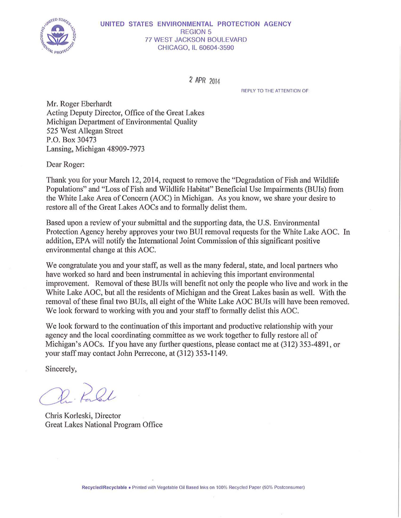

### UNITED STATES ENVIRONMENTAL PROTECTION AGENCY REGION 5 77 WEST JACKSON BOULEVARD CHICAGO, IL 60604-3590

*2* APR 2014

REPLY TO THE ATTENTION OF

Mr. Roger Eberhardt Acting Deputy Director, Office of the Great Lakes Michigan Department of Environmental Quality 525 West Allegan Street P.O. Box 30473 Lansing, Michigan 48909-7973

Dear Roger:

Thank you for your March 12, 2014, request to remove the "Degradation of Fish and Wildlife" Populations" and "Loss of Fish and Wildlife Habitat" Beneficial Use Impairments (BUIs) from the White Lake Area of Concern (AOC) in Michigan. As you know, we share your desire to restore all of the Great Lakes AOCs and to formally delist them.

Based upon a review of your submittal and the supporting data, the U.S. Enviromnental Protection Agency hereby approves your two BUI removal requests for the White Lake AOC. In addition, EPA will notify the International Joint Commission ofthis significant positive environmental change at this AOC.

We congratulate you and your staff, as well as the many federal, state, and local partners who have worked so hard and been instrumental in achieving this important environmental improvement. Removal of these BUis will benefit not only the people who live and work in the White Lake AOC, but all the residents of Michigan and the Great Lakes basin as well. With the removal of these final two BUIs, all eight of the White Lake AOC BUIs will have been removed. We look forward to working with you and your staff to formally delist this AOC.

We look forward to the continuation of this important and productive relationship with your agency and the local coordinating committee as we work together to fully restore all of Michigan's AOCs. If you have any further questions, please contact me at (312) 353-4891, or your staff may contact John Perrecone, at (312) 353-1149.

Sincerely,

D. POL

Chris Korleski, Director Great Lakes National Program Office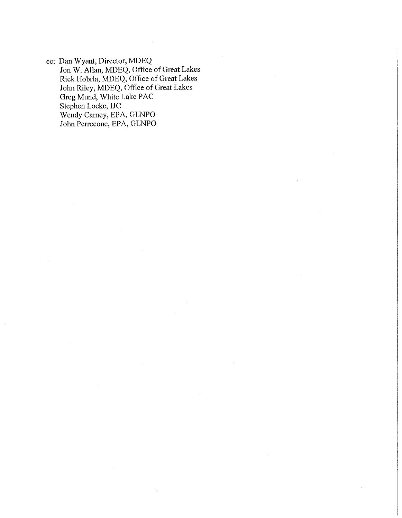cc: Dan Wyant, Director, MDEQ Jon W. Allan, MDEQ, Office of Great Lakes Rick Hobrla, MDEQ, Office of Great Lakes John Riley, MDEQ, Office of Great Lakes Greg Mund, White Lake PAC Stephen Locke, IJC Wendy Carney, EPA, GLNPO John Perrecone, EPA, GLNPO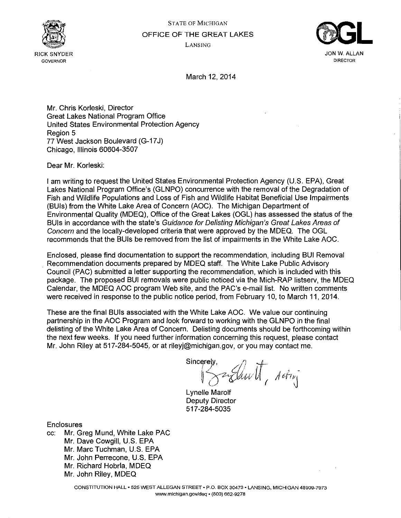

**GOVERNOR** 

STATE OF MICHIGAN OFFICE OF THE GREAT LAKES LANSING



**DIRECTOR** 

March 12, 2014

Mr. Chris Korleski, Director Great Lakes National Program Office United States Environmental Protection Agency Region 5 77 West Jackson Boulevard (G-17 J) Chicago, Illinois 60604-3507

Dear Mr. Korleski:

I am writing to request the United States Environmental Protection Agency (U.S. EPA), Great Lakes National Program Office's (GLNPO) concurrence with the removal of the Degradation of Fish and Wildlife Populations and Loss of Fish and Wildlife Habitat Beneficial Use Impairments (BUis) from the White Lake Area of Concern (AOC). The Michigan Department of Environmental Quality (MDEQ), Office of the Great Lakes (OGL) has assessed the status of the BUIs in accordance with the state's Guidance for Delisting Michigan's Great Lakes Areas of Concern and the locally-developed criteria that were approved by the MDEQ. The OGL recommends that the BUis be removed from the list of impairments in the White Lake AOC.

Enclosed, please find documentation to support the recommendation, including BUI Removal . Recommendation documents prepared by MDEQ staff. The White Lake Public Advisory Council (PAC) submitted a letter supporting the recommendation, which is included with this package. The proposed BUI removals were public noticed via the Mich-RAP listserv, the MDEQ Calendar, the MDEQ AOC program Web site, and the PAC's e-mail list. No written comments were received in response to the public notice period, from February 10, to March 11, 2014.

These are the final BUis associated with the White Lake AOC. We value our continuing partnership in the AOC Program and look forward to working with the GLNPO in the final delisting of the White Lake Area of Concern. Delisting documents should be forthcoming within the next few weeks. If you need further information concerning this request, please contact Mr. John Riley at 517-284-5045, or at rileyj@michigan.gov, or you may contact me.

Sincerely,  $\mathcal{U}$  if  $i\rightarrow$  a Eliu VI, Acting

Lynelle Marolf Deputy Director 517-284-5035

**Enclosures** 

cc: Mr. Greg Mund, White Lake PAC Mr. Dave Cowgill, U.S. EPA Mr. Marc Tuchman, U.S. EPA Mr. John Perrecone, U.S. EPA Mr. Richard Hobrla, MDEQ Mr. John Riley, MDEQ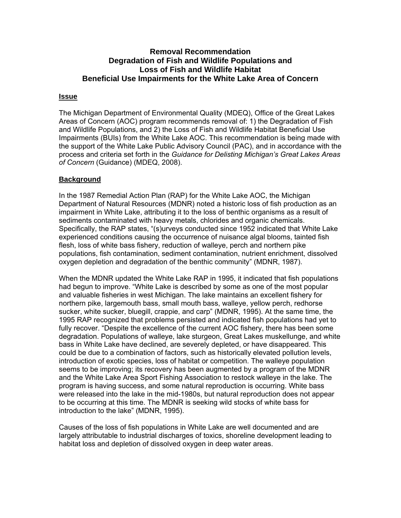### **Issue**

The Michigan Department of Environmental Quality (MDEQ), Office of the Great Lakes Areas of Concern (AOC) program recommends removal of: 1) the Degradation of Fish and Wildlife Populations, and 2) the Loss of Fish and Wildlife Habitat Beneficial Use Impairments (BUIs) from the White Lake AOC. This recommendation is being made with the support of the White Lake Public Advisory Council (PAC), and in accordance with the process and criteria set forth in the *Guidance for Delisting Michigan's Great Lakes Areas of Concern* (Guidance) (MDEQ, 2008).

## **Background**

In the 1987 Remedial Action Plan (RAP) for the White Lake AOC, the Michigan Department of Natural Resources (MDNR) noted a historic loss of fish production as an impairment in White Lake, attributing it to the loss of benthic organisms as a result of sediments contaminated with heavy metals, chlorides and organic chemicals. Specifically, the RAP states, "(s)urveys conducted since 1952 indicated that White Lake experienced conditions causing the occurrence of nuisance algal blooms, tainted fish flesh, loss of white bass fishery, reduction of walleye, perch and northern pike populations, fish contamination, sediment contamination, nutrient enrichment, dissolved oxygen depletion and degradation of the benthic community" (MDNR, 1987).

When the MDNR updated the White Lake RAP in 1995, it indicated that fish populations had begun to improve. "White Lake is described by some as one of the most popular and valuable fisheries in west Michigan. The lake maintains an excellent fishery for northern pike, largemouth bass, small mouth bass, walleye, yellow perch, redhorse sucker, white sucker, bluegill, crappie, and carp" (MDNR, 1995). At the same time, the 1995 RAP recognized that problems persisted and indicated fish populations had yet to fully recover. "Despite the excellence of the current AOC fishery, there has been some degradation. Populations of walleye, lake sturgeon, Great Lakes muskellunge, and white bass in White Lake have declined, are severely depleted, or have disappeared. This could be due to a combination of factors, such as historically elevated pollution levels, introduction of exotic species, loss of habitat or competition. The walleye population seems to be improving; its recovery has been augmented by a program of the MDNR and the White Lake Area Sport Fishing Association to restock walleye in the lake. The program is having success, and some natural reproduction is occurring. White bass were released into the lake in the mid-1980s, but natural reproduction does not appear to be occurring at this time. The MDNR is seeking wild stocks of white bass for introduction to the lake" (MDNR, 1995).

Causes of the loss of fish populations in White Lake are well documented and are largely attributable to industrial discharges of toxics, shoreline development leading to habitat loss and depletion of dissolved oxygen in deep water areas.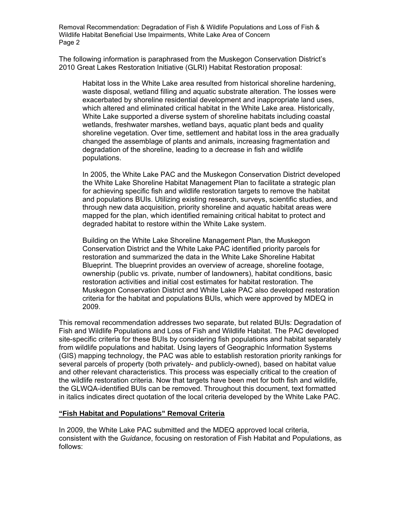The following information is paraphrased from the Muskegon Conservation District's 2010 Great Lakes Restoration Initiative (GLRI) Habitat Restoration proposal:

Habitat loss in the White Lake area resulted from historical shoreline hardening, waste disposal, wetland filling and aquatic substrate alteration. The losses were exacerbated by shoreline residential development and inappropriate land uses, which altered and eliminated critical habitat in the White Lake area. Historically, White Lake supported a diverse system of shoreline habitats including coastal wetlands, freshwater marshes, wetland bays, aquatic plant beds and quality shoreline vegetation. Over time, settlement and habitat loss in the area gradually changed the assemblage of plants and animals, increasing fragmentation and degradation of the shoreline, leading to a decrease in fish and wildlife populations.

In 2005, the White Lake PAC and the Muskegon Conservation District developed the White Lake Shoreline Habitat Management Plan to facilitate a strategic plan for achieving specific fish and wildlife restoration targets to remove the habitat and populations BUIs. Utilizing existing research, surveys, scientific studies, and through new data acquisition, priority shoreline and aquatic habitat areas were mapped for the plan, which identified remaining critical habitat to protect and degraded habitat to restore within the White Lake system.

Building on the White Lake Shoreline Management Plan, the Muskegon Conservation District and the White Lake PAC identified priority parcels for restoration and summarized the data in the White Lake Shoreline Habitat Blueprint. The blueprint provides an overview of acreage, shoreline footage, ownership (public vs. private, number of landowners), habitat conditions, basic restoration activities and initial cost estimates for habitat restoration. The Muskegon Conservation District and White Lake PAC also developed restoration criteria for the habitat and populations BUIs, which were approved by MDEQ in 2009.

This removal recommendation addresses two separate, but related BUIs: Degradation of Fish and Wildlife Populations and Loss of Fish and Wildlife Habitat. The PAC developed site-specific criteria for these BUIs by considering fish populations and habitat separately from wildlife populations and habitat. Using layers of Geographic Information Systems (GIS) mapping technology, the PAC was able to establish restoration priority rankings for several parcels of property (both privately- and publicly-owned), based on habitat value and other relevant characteristics. This process was especially critical to the creation of the wildlife restoration criteria. Now that targets have been met for both fish and wildlife, the GLWQA-identified BUIs can be removed. Throughout this document, text formatted in italics indicates direct quotation of the local criteria developed by the White Lake PAC.

### **"Fish Habitat and Populations" Removal Criteria**

In 2009, the White Lake PAC submitted and the MDEQ approved local criteria, consistent with the *Guidance*, focusing on restoration of Fish Habitat and Populations, as follows: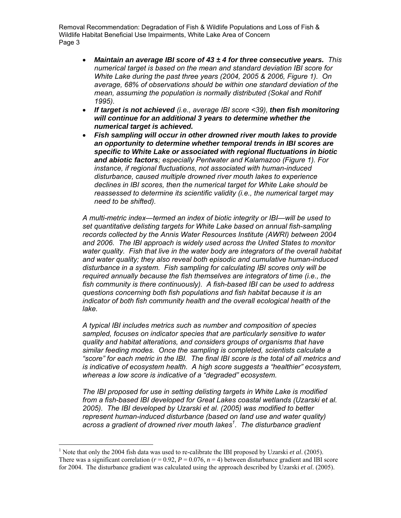- *Maintain an average IBI score of 43 ± 4 for three consecutive years. This numerical target is based on the mean and standard deviation IBI score for White Lake during the past three years (2004, 2005 & 2006, Figure 1). On average, 68% of observations should be within one standard deviation of the mean, assuming the population is normally distributed (Sokal and Rohlf 1995).*
- *If target is not achieved (i.e., average IBI score <39), then fish monitoring will continue for an additional 3 years to determine whether the numerical target is achieved.*
- *Fish sampling will occur in other drowned river mouth lakes to provide an opportunity to determine whether temporal trends in IBI scores are specific to White Lake or associated with regional fluctuations in biotic and abiotic factors; especially Pentwater and Kalamazoo (Figure 1). For instance, if regional fluctuations, not associated with human-induced disturbance, caused multiple drowned river mouth lakes to experience declines in IBI scores, then the numerical target for White Lake should be reassessed to determine its scientific validity (i.e., the numerical target may need to be shifted).*

*A multi-metric index—termed an index of biotic integrity or IBI—will be used to set quantitative delisting targets for White Lake based on annual fish-sampling records collected by the Annis Water Resources Institute (AWRI) between 2004 and 2006. The IBI approach is widely used across the United States to monitor water quality. Fish that live in the water body are integrators of the overall habitat and water quality; they also reveal both episodic and cumulative human-induced disturbance in a system. Fish sampling for calculating IBI scores only will be required annually because the fish themselves are integrators of time (i.e., the fish community is there continuously). A fish-based IBI can be used to address questions concerning both fish populations and fish habitat because it is an indicator of both fish community health and the overall ecological health of the lake.* 

*A typical IBI includes metrics such as number and composition of species sampled, focuses on indicator species that are particularly sensitive to water quality and habitat alterations, and considers groups of organisms that have similar feeding modes. Once the sampling is completed, scientists calculate a "score" for each metric in the IBI. The final IBI score is the total of all metrics and is indicative of ecosystem health. A high score suggests a "healthier" ecosystem, whereas a low score is indicative of a "degraded" ecosystem.* 

*The IBI proposed for use in setting delisting targets in White Lake is modified from a fish-based IBI developed for Great Lakes coastal wetlands (Uzarski et al. 2005). The IBI developed by Uzarski et al. (2005) was modified to better represent human-induced disturbance (based on land use and water quality) across a gradient of drowned river mouth lakes<sup>1</sup> . The disturbance gradient* 

 $\overline{a}$ 

<sup>&</sup>lt;sup>1</sup> Note that only the 2004 fish data was used to re-calibrate the IBI proposed by Uzarski *et al.* (2005). There was a significant correlation  $(r = 0.92, P = 0.076, n = 4)$  between disturbance gradient and IBI score for 2004. The disturbance gradient was calculated using the approach described by Uzarski *et al*. (2005).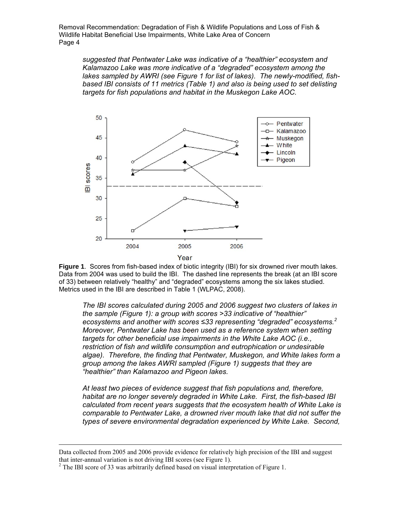*suggested that Pentwater Lake was indicative of a "healthier" ecosystem and Kalamazoo Lake was more indicative of a "degraded" ecosystem among the lakes sampled by AWRI (see Figure 1 for list of lakes). The newly-modified, fishbased IBI consists of 11 metrics (Table 1) and also is being used to set delisting targets for fish populations and habitat in the Muskegon Lake AOC.* 



**Figure 1**. Scores from fish-based index of biotic integrity (IBI) for six drowned river mouth lakes. Data from 2004 was used to build the IBI. The dashed line represents the break (at an IBI score of 33) between relatively "healthy" and "degraded" ecosystems among the six lakes studied. Metrics used in the IBI are described in Table 1 (WLPAC, 2008).

*The IBI scores calculated during 2005 and 2006 suggest two clusters of lakes in the sample (Figure 1): a group with scores >33 indicative of "healthier" ecosystems and another with scores ≤33 representing "degraded" ecosystems.<sup>2</sup> Moreover, Pentwater Lake has been used as a reference system when setting targets for other beneficial use impairments in the White Lake AOC (i.e., restriction of fish and wildlife consumption and eutrophication or undesirable algae). Therefore, the finding that Pentwater, Muskegon, and White lakes form a group among the lakes AWRI sampled (Figure 1) suggests that they are "healthier" than Kalamazoo and Pigeon lakes.* 

*At least two pieces of evidence suggest that fish populations and, therefore, habitat are no longer severely degraded in White Lake. First, the fish-based IBI calculated from recent years suggests that the ecosystem health of White Lake is comparable to Pentwater Lake, a drowned river mouth lake that did not suffer the types of severe environmental degradation experienced by White Lake. Second,* 

Data collected from 2005 and 2006 provide evidence for relatively high precision of the IBI and suggest that inter-annual variation is not driving IBI scores (see Figure 1).

 $2^2$  The IBI score of 33 was arbitrarily defined based on visual interpretation of Figure 1.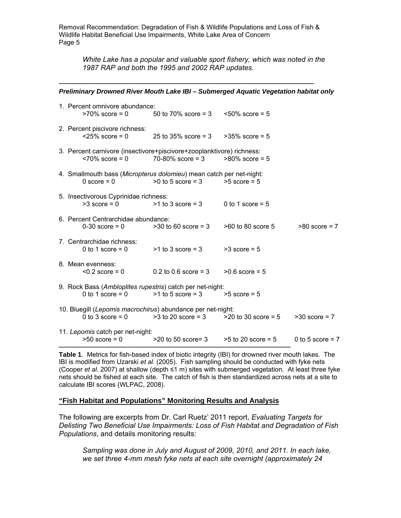*White Lake has a popular and valuable sport fishery, which was noted in the 1987 RAP and both the 1995 and 2002 RAP updates.* 

#### ─────────────────────────────────────────────────────── *Preliminary Drowned River Mouth Lake IBI – Submerged Aquatic Vegetation habitat only*

| 1. Percent omnivore abundance:<br>$>70\%$ score = 0                                    | 50 to 70% score = $3 \times 50\%$ score = $5$ |                        |                    |
|----------------------------------------------------------------------------------------|-----------------------------------------------|------------------------|--------------------|
| 2. Percent piscivore richness:<br>$<$ 25% score = 0                                    | 25 to 35% score = 3                           | $>35\%$ score = 5      |                    |
| 3. Percent carnivore (insectivore+piscivore+zooplanktivore) richness:                  | $~170\%$ score = 0 $~170-80\%$ score = 3      | $>80\%$ score = 5      |                    |
| 4. Smallmouth bass (Micropterus dolomieu) mean catch per net-night:<br>$0$ score = $0$ | $>0$ to 5 score = 3                           | $>5$ score = $5$       |                    |
| 5. Insectivorous Cyprinidae richness:<br>$>3$ score = 0                                | $>1$ to 3 score = 3                           | 0 to 1 score = $5$     |                    |
| 6. Percent Centrarchidae abundance:<br>$0-30$ score = 0                                | $>30$ to 60 score = 3                         | $>60$ to 80 score 5    | $>80$ score = 7    |
| 7. Centrarchidae richness:<br>0 to 1 score $= 0$                                       | $>1$ to 3 score = 3                           | $>3$ score = 5         |                    |
| 8. Mean evenness:                                                                      | $0.2$ score = 0 $0.2$ to 0.6 score = 3        | $>0.6$ score = 5       |                    |
| 9. Rock Bass (Ambloplites rupestris) catch per net-night:<br>0 to 1 score $= 0$        | $>1$ to 5 score = 3                           | $>5$ score = $5$       |                    |
| 10. Bluegill (Lepomis macrochirus) abundance per net-night:                            | 0 to 3 score = $0$ > 3 to 20 score = $3$      | $>$ 20 to 30 score = 5 | $>30$ score = 7    |
| 11. Lepomis catch per net-night:<br>$>50$ score = 0                                    | $>$ 20 to 50 score= 3                         | $>5$ to 20 score = 5   | 0 to 5 score $= 7$ |

**Table 1**. Metrics for fish-based index of biotic integrity (IBI) for drowned river mouth lakes. The IBI is modified from Uzarski *et al*. (2005). Fish sampling should be conducted with fyke nets (Cooper *et al*. 2007) at shallow (depth ≤1 m) sites with submerged vegetation. At least three fyke nets should be fished at each site. The catch of fish is then standardized across nets at a site to calculate IBI scores (WLPAC, 2008).

### **"Fish Habitat and Populations" Monitoring Results and Analysis**

The following are excerpts from Dr. Carl Ruetz' 2011 report, *Evaluating Targets for Delisting Two Beneficial Use Impairments: Loss of Fish Habitat and Degradation of Fish Populations*, and details monitoring results:

*Sampling was done in July and August of 2009, 2010, and 2011. In each lake, we set three 4-mm mesh fyke nets at each site overnight (approximately 24*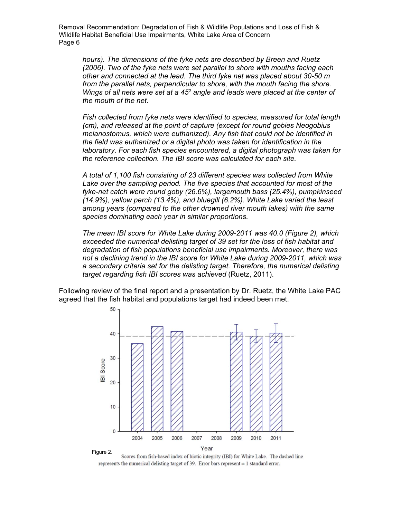*hours). The dimensions of the fyke nets are described by Breen and Ruetz (2006). Two of the fyke nets were set parallel to shore with mouths facing each other and connected at the lead. The third fyke net was placed about 30-50 m*  from the parallel nets, perpendicular to shore, with the mouth facing the shore. Wings of all nets were set at a 45<sup>°</sup> angle and leads were placed at the center of *the mouth of the net.* 

*Fish collected from fyke nets were identified to species, measured for total length (cm), and released at the point of capture (except for round gobies Neogobius melanostomus, which were euthanized). Any fish that could not be identified in the field was euthanized or a digital photo was taken for identification in the laboratory. For each fish species encountered, a digital photograph was taken for the reference collection. The IBI score was calculated for each site.* 

*A total of 1,100 fish consisting of 23 different species was collected from White*  Lake over the sampling period. The five species that accounted for most of the *fyke-net catch were round goby (26.6%), largemouth bass (25.4%), pumpkinseed (14.9%), yellow perch (13.4%), and bluegill (6.2%). White Lake varied the least among years (compared to the other drowned river mouth lakes) with the same species dominating each year in similar proportions.* 

*The mean IBI score for White Lake during 2009-2011 was 40.0 (Figure 2), which exceeded the numerical delisting target of 39 set for the loss of fish habitat and degradation of fish populations beneficial use impairments. Moreover, there was not a declining trend in the IBI score for White Lake during 2009-2011, which was a secondary criteria set for the delisting target. Therefore, the numerical delisting target regarding fish IBI scores was achieved* (Ruetz, 2011).

Following review of the final report and a presentation by Dr. Ruetz, the White Lake PAC agreed that the fish habitat and populations target had indeed been met.



Scores from fish-based index of biotic integrity (IBI) for White Lake. The dashed line represents the numerical delisting target of 39. Error bars represent  $\pm 1$  standard error.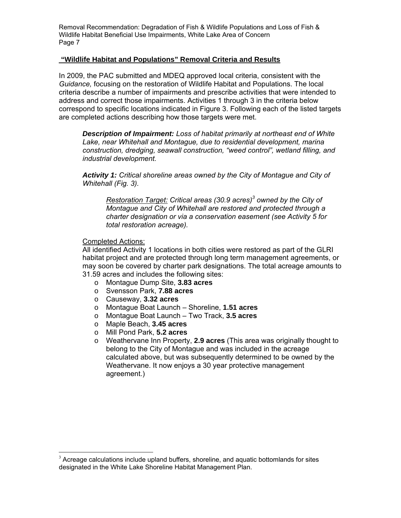### **"Wildlife Habitat and Populations" Removal Criteria and Results**

In 2009, the PAC submitted and MDEQ approved local criteria, consistent with the *Guidance,* focusing on the restoration of Wildlife Habitat and Populations. The local criteria describe a number of impairments and prescribe activities that were intended to address and correct those impairments. Activities 1 through 3 in the criteria below correspond to specific locations indicated in Figure 3. Following each of the listed targets are completed actions describing how those targets were met.

*Description of Impairment: Loss of habitat primarily at northeast end of White Lake, near Whitehall and Montague, due to residential development, marina construction, dredging, seawall construction, "weed control", wetland filling, and industrial development.* 

*Activity 1: Critical shoreline areas owned by the City of Montague and City of Whitehall (Fig. 3).* 

*Restoration Target: Critical areas (30.9 acres)3 owned by the City of Montague and City of Whitehall are restored and protected through a charter designation or via a conservation easement (see Activity 5 for total restoration acreage).*

### Completed Actions:

 $\overline{a}$ 

All identified Activity 1 locations in both cities were restored as part of the GLRI habitat project and are protected through long term management agreements, or may soon be covered by charter park designations. The total acreage amounts to 31.59 acres and includes the following sites:

- o Montague Dump Site, **3.83 acres**
- o Svensson Park, **7.88 acres**
- o Causeway, **3.32 acres**
- o Montague Boat Launch Shoreline, **1.51 acres**
- o Montague Boat Launch Two Track, **3.5 acres**
- o Maple Beach, **3.45 acres**
- o Mill Pond Park, **5.2 acres**
- o Weathervane Inn Property, **2.9 acres** (This area was originally thought to belong to the City of Montague and was included in the acreage calculated above, but was subsequently determined to be owned by the Weathervane. It now enjoys a 30 year protective management agreement.)

 $3$  Acreage calculations include upland buffers, shoreline, and aquatic bottomlands for sites designated in the White Lake Shoreline Habitat Management Plan.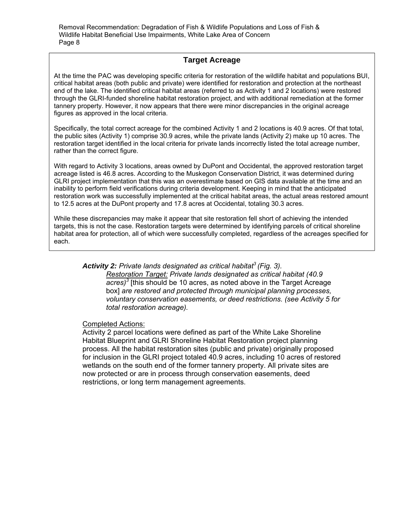# **Target Acreage**

At the time the PAC was developing specific criteria for restoration of the wildlife habitat and populations BUI, critical habitat areas (both public and private) were identified for restoration and protection at the northeast end of the lake. The identified critical habitat areas (referred to as Activity 1 and 2 locations) were restored through the GLRI-funded shoreline habitat restoration project, and with additional remediation at the former tannery property. However, it now appears that there were minor discrepancies in the original acreage figures as approved in the local criteria.

Specifically, the total correct acreage for the combined Activity 1 and 2 locations is 40.9 acres. Of that total, the public sites (Activity 1) comprise 30.9 acres, while the private lands (Activity 2) make up 10 acres. The restoration target identified in the local criteria for private lands incorrectly listed the total acreage number, rather than the correct figure.

With regard to Activity 3 locations, areas owned by DuPont and Occidental, the approved restoration target acreage listed is 46.8 acres. According to the Muskegon Conservation District, it was determined during GLRI project implementation that this was an overestimate based on GIS data available at the time and an inability to perform field verifications during criteria development. Keeping in mind that the anticipated restoration work was successfully implemented at the critical habitat areas, the actual areas restored amount to 12.5 acres at the DuPont property and 17.8 acres at Occidental, totaling 30.3 acres.

While these discrepancies may make it appear that site restoration fell short of achieving the intended targets, this is not the case. Restoration targets were determined by identifying parcels of critical shoreline habitat area for protection, all of which were successfully completed, regardless of the acreages specified for each.

## *Activity 2: Private lands designated as critical habitat3 (Fig. 3).*

*Restoration Target: Private lands designated as critical habitat (40.9 acres)3* [this should be 10 acres, as noted above in the Target Acreage box] *are restored and protected through municipal planning processes, voluntary conservation easements, or deed restrictions. (see Activity 5 for total restoration acreage).*

#### Completed Actions:

Activity 2 parcel locations were defined as part of the White Lake Shoreline Habitat Blueprint and GLRI Shoreline Habitat Restoration project planning process. All the habitat restoration sites (public and private) originally proposed for inclusion in the GLRI project totaled 40.9 acres, including 10 acres of restored wetlands on the south end of the former tannery property. All private sites are now protected or are in process through conservation easements, deed restrictions, or long term management agreements.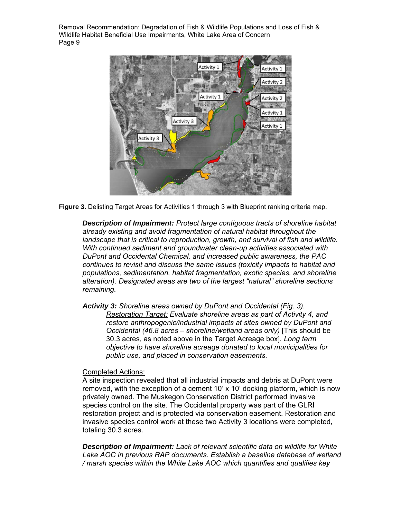

**Figure 3.** Delisting Target Areas for Activities 1 through 3 with Blueprint ranking criteria map.

*Description of Impairment: Protect large contiguous tracts of shoreline habitat already existing and avoid fragmentation of natural habitat throughout the landscape that is critical to reproduction, growth, and survival of fish and wildlife. With continued sediment and groundwater clean-up activities associated with DuPont and Occidental Chemical, and increased public awareness, the PAC continues to revisit and discuss the same issues (toxicity impacts to habitat and populations, sedimentation, habitat fragmentation, exotic species, and shoreline alteration). Designated areas are two of the largest "natural" shoreline sections remaining.*

*Activity 3: Shoreline areas owned by DuPont and Occidental (Fig. 3). Restoration Target: Evaluate shoreline areas as part of Activity 4, and restore anthropogenic/industrial impacts at sites owned by DuPont and Occidental (46.8 acres – shoreline/wetland areas only)* [This should be 30.3 acres, as noted above in the Target Acreage box]*. Long term objective to have shoreline acreage donated to local municipalities for public use, and placed in conservation easements.*

### Completed Actions:

A site inspection revealed that all industrial impacts and debris at DuPont were removed, with the exception of a cement 10' x 10' docking platform, which is now privately owned. The Muskegon Conservation District performed invasive species control on the site. The Occidental property was part of the GLRI restoration project and is protected via conservation easement. Restoration and invasive species control work at these two Activity 3 locations were completed, totaling 30.3 acres.

*Description of Impairment: Lack of relevant scientific data on wildlife for White*  Lake AOC in previous RAP documents. Establish a baseline database of wetland */ marsh species within the White Lake AOC which quantifies and qualifies key*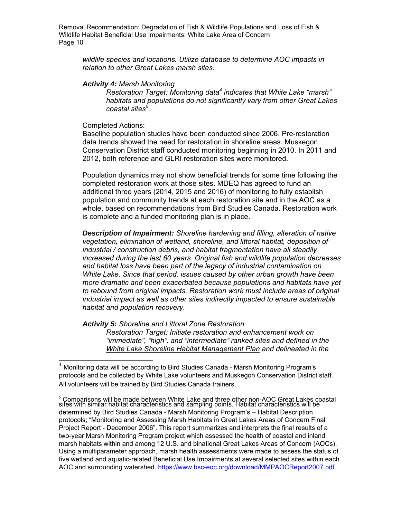*wildlife species and locations. Utilize database to determine AOC impacts in relation to other Great Lakes marsh sites.*

#### *Activity 4: Marsh Monitoring*

*Restoration Target: Monitoring data4 indicates that White Lake "marsh" habitats and populations do not significantly vary from other Great Lakes coastal sites5 .* 

#### Completed Actions:

Baseline population studies have been conducted since 2006. Pre-restoration data trends showed the need for restoration in shoreline areas. Muskegon Conservation District staff conducted monitoring beginning in 2010. In 2011 and 2012, both reference and GLRI restoration sites were monitored.

Population dynamics may not show beneficial trends for some time following the completed restoration work at those sites. MDEQ has agreed to fund an additional three years (2014, 2015 and 2016) of monitoring to fully establish population and community trends at each restoration site and in the AOC as a whole, based on recommendations from Bird Studies Canada. Restoration work is complete and a funded monitoring plan is in place.

*Description of Impairment: Shoreline hardening and filling, alteration of native vegetation, elimination of wetland, shoreline, and littoral habitat, deposition of industrial / construction debris, and habitat fragmentation have all steadily increased during the last 60 years. Original fish and wildlife population decreases and habitat loss have been part of the legacy of industrial contamination on White Lake. Since that period, issues caused by other urban growth have been more dramatic and been exacerbated because populations and habitats have yet to rebound from original impacts. Restoration work must include areas of original industrial impact as well as other sites indirectly impacted to ensure sustainable habitat and population recovery.*

*Activity 5: Shoreline and Littoral Zone Restoration* 

*Restoration Target: Initiate restoration and enhancement work on "immediate", "high", and "intermediate" ranked sites and defined in the White Lake Shoreline Habitat Management Plan and delineated in the* 

<sup>4</sup> Monitoring data will be according to Bird Studies Canada - Marsh Monitoring Program's protocols and be collected by White Lake volunteers and Muskegon Conservation District staff. All volunteers will be trained by Bird Studies Canada trainers.

<sup>&</sup>lt;sup>s</sup> Comparisons will be made between White Lake and three other non-AOC Great Lakes coastal<br>sites with similar habitat characteristics and sampling points. Habitat characteristics will be determined by Bird Studies Canada - Marsh Monitoring Program's – Habitat Description protocols; "Monitoring and Assessing Marsh Habitats in Great Lakes Areas of Concern Final Project Report - December 2006". This report summarizes and interprets the final results of a two-year Marsh Monitoring Program project which assessed the health of coastal and inland marsh habitats within and among 12 U.S. and binational Great Lakes Areas of Concern (AOCs). Using a multiparameter approach, marsh health assessments were made to assess the status of five wetland and aquatic-related Beneficial Use Impairments at several selected sites within each AOC and surrounding watershed. https://www.bsc-eoc.org/download/MMPAOCReport2007.pdf.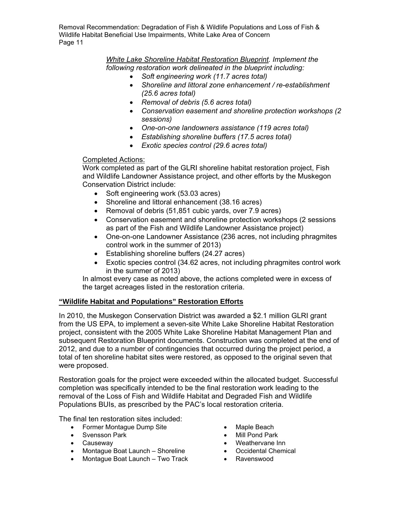> *White Lake Shoreline Habitat Restoration Blueprint. Implement the following restoration work delineated in the blueprint including:*

- *Soft engineering work (11.7 acres total)*
- *Shoreline and littoral zone enhancement / re-establishment (25.6 acres total)*
- *Removal of debris (5.6 acres total)*
- *Conservation easement and shoreline protection workshops (2 sessions)*
- *One-on-one landowners assistance (119 acres total)*
- *Establishing shoreline buffers (17.5 acres total)*
- *Exotic species control (29.6 acres total)*

## Completed Actions:

Work completed as part of the GLRI shoreline habitat restoration project, Fish and Wildlife Landowner Assistance project, and other efforts by the Muskegon Conservation District include:

- Soft engineering work (53.03 acres)
- Shoreline and littoral enhancement (38.16 acres)
- Removal of debris (51,851 cubic yards, over 7.9 acres)
- Conservation easement and shoreline protection workshops (2 sessions as part of the Fish and Wildlife Landowner Assistance project)
- One-on-one Landowner Assistance (236 acres, not including phragmites control work in the summer of 2013)
- Establishing shoreline buffers (24.27 acres)
- Exotic species control (34.62 acres, not including phragmites control work in the summer of 2013)

In almost every case as noted above, the actions completed were in excess of the target acreages listed in the restoration criteria.

## **"Wildlife Habitat and Populations" Restoration Efforts**

In 2010, the Muskegon Conservation District was awarded a \$2.1 million GLRI grant from the US EPA, to implement a seven-site White Lake Shoreline Habitat Restoration project, consistent with the 2005 White Lake Shoreline Habitat Management Plan and subsequent Restoration Blueprint documents. Construction was completed at the end of 2012, and due to a number of contingencies that occurred during the project period, a total of ten shoreline habitat sites were restored, as opposed to the original seven that were proposed.

Restoration goals for the project were exceeded within the allocated budget. Successful completion was specifically intended to be the final restoration work leading to the removal of the Loss of Fish and Wildlife Habitat and Degraded Fish and Wildlife Populations BUIs, as prescribed by the PAC's local restoration criteria.

The final ten restoration sites included:

- Former Montague Dump Site
- Svensson Park
- Causeway
- Montague Boat Launch Shoreline
- Montague Boat Launch Two Track
- Maple Beach
- Mill Pond Park
- Weathervane Inn
- Occidental Chemical
- Ravenswood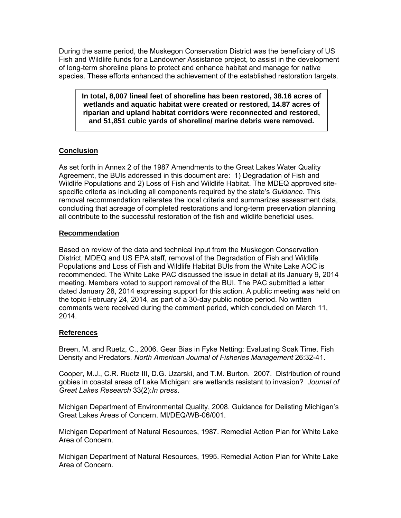During the same period, the Muskegon Conservation District was the beneficiary of US Fish and Wildlife funds for a Landowner Assistance project, to assist in the development of long-term shoreline plans to protect and enhance habitat and manage for native species. These efforts enhanced the achievement of the established restoration targets.

**In total, 8,007 lineal feet of shoreline has been restored, 38.16 acres of wetlands and aquatic habitat were created or restored, 14.87 acres of riparian and upland habitat corridors were reconnected and restored, and 51,851 cubic yards of shoreline/ marine debris were removed.**

# **Conclusion**

As set forth in Annex 2 of the 1987 Amendments to the Great Lakes Water Quality Agreement, the BUIs addressed in this document are: 1) Degradation of Fish and Wildlife Populations and 2) Loss of Fish and Wildlife Habitat. The MDEQ approved sitespecific criteria as including all components required by the state's *Guidance*. This removal recommendation reiterates the local criteria and summarizes assessment data, concluding that acreage of completed restorations and long-term preservation planning all contribute to the successful restoration of the fish and wildlife beneficial uses.

# **Recommendation**

Based on review of the data and technical input from the Muskegon Conservation District, MDEQ and US EPA staff, removal of the Degradation of Fish and Wildlife Populations and Loss of Fish and Wildlife Habitat BUIs from the White Lake AOC is recommended. The White Lake PAC discussed the issue in detail at its January 9, 2014 meeting. Members voted to support removal of the BUI. The PAC submitted a letter dated January 28, 2014 expressing support for this action. A public meeting was held on the topic February 24, 2014, as part of a 30-day public notice period. No written comments were received during the comment period, which concluded on March 11, 2014.

# **References**

Breen, M. and Ruetz, C., 2006. Gear Bias in Fyke Netting: Evaluating Soak Time, Fish Density and Predators. *North American Journal of Fisheries Management* 26:32-41.

Cooper, M.J., C.R. Ruetz III, D.G. Uzarski, and T.M. Burton. 2007. Distribution of round gobies in coastal areas of Lake Michigan: are wetlands resistant to invasion? *Journal of Great Lakes Research* 33(2):*In press*.

Michigan Department of Environmental Quality, 2008. Guidance for Delisting Michigan's Great Lakes Areas of Concern. MI/DEQ/WB-06/001.

Michigan Department of Natural Resources, 1987. Remedial Action Plan for White Lake Area of Concern.

Michigan Department of Natural Resources, 1995. Remedial Action Plan for White Lake Area of Concern.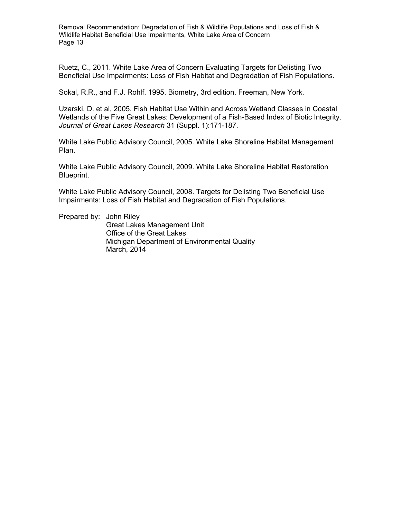Ruetz, C., 2011. White Lake Area of Concern Evaluating Targets for Delisting Two Beneficial Use Impairments: Loss of Fish Habitat and Degradation of Fish Populations.

Sokal, R.R., and F.J. Rohlf, 1995. Biometry, 3rd edition. Freeman, New York.

Uzarski, D. et al, 2005. Fish Habitat Use Within and Across Wetland Classes in Coastal Wetlands of the Five Great Lakes: Development of a Fish-Based Index of Biotic Integrity. *Journal of Great Lakes Research* 31 (Suppl. 1):171-187.

White Lake Public Advisory Council, 2005. White Lake Shoreline Habitat Management Plan.

White Lake Public Advisory Council, 2009. White Lake Shoreline Habitat Restoration Blueprint.

White Lake Public Advisory Council, 2008. Targets for Delisting Two Beneficial Use Impairments: Loss of Fish Habitat and Degradation of Fish Populations.

Prepared by: John Riley Great Lakes Management Unit Office of the Great Lakes Michigan Department of Environmental Quality March, 2014